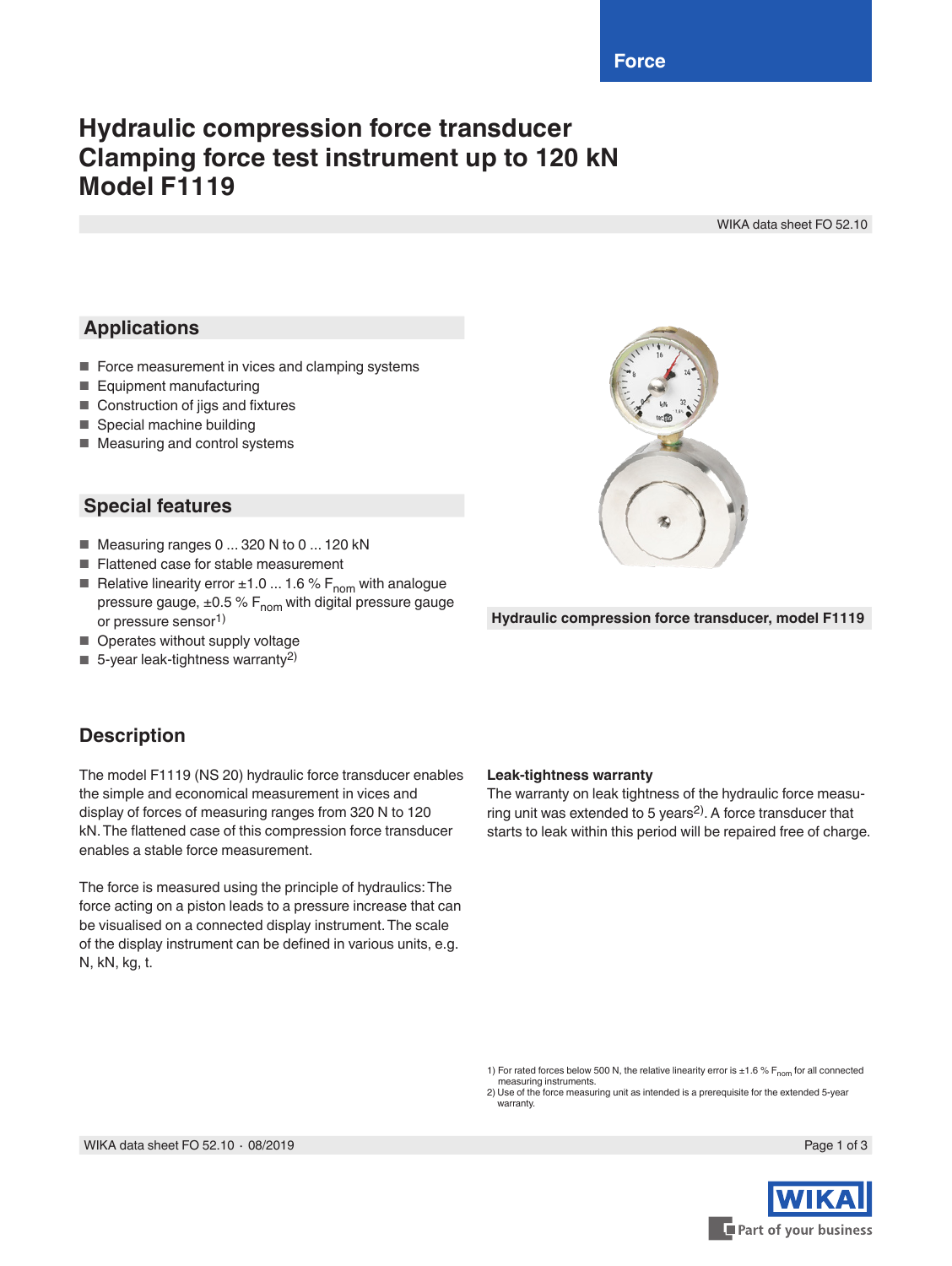# **Hydraulic compression force transducer Clamping force test instrument up to 120 kN Model F1119**

WIKA data sheet FO 52.10

### **Applications**

- Force measurement in vices and clamping systems
- Equipment manufacturing
- Construction of jigs and fixtures
- Special machine building
- Measuring and control systems

#### **Special features**

- Measuring ranges 0 ... 320 N to 0 ... 120 kN
- Flattened case for stable measurement
- Relative linearity error  $±1.0$  ... 1.6 %  $F_{nom}$  with analogue pressure gauge,  $\pm 0.5$  % F<sub>nom</sub> with digital pressure gauge or pressure sensor1)
- Operates without supply voltage
- $\blacksquare$  5-year leak-tightness warranty<sup>2)</sup>



**Hydraulic compression force transducer, model F1119**

#### **Description**

The model F1119 (NS 20) hydraulic force transducer enables the simple and economical measurement in vices and display of forces of measuring ranges from 320 N to 120 kN. The flattened case of this compression force transducer enables a stable force measurement.

The force is measured using the principle of hydraulics: The force acting on a piston leads to a pressure increase that can be visualised on a connected display instrument. The scale of the display instrument can be defined in various units, e.g. N, kN, kg, t.

#### **Leak-tightness warranty**

The warranty on leak tightness of the hydraulic force measuring unit was extended to 5 years<sup>2)</sup>. A force transducer that starts to leak within this period will be repaired free of charge.

1) For rated forces below 500 N, the relative linearity error is  $\pm 1.6$  % F<sub>nom</sub> for all connected measuring instruments.

2) Use of the force measuring unit as intended is a prerequisite for the extended 5-year warranty

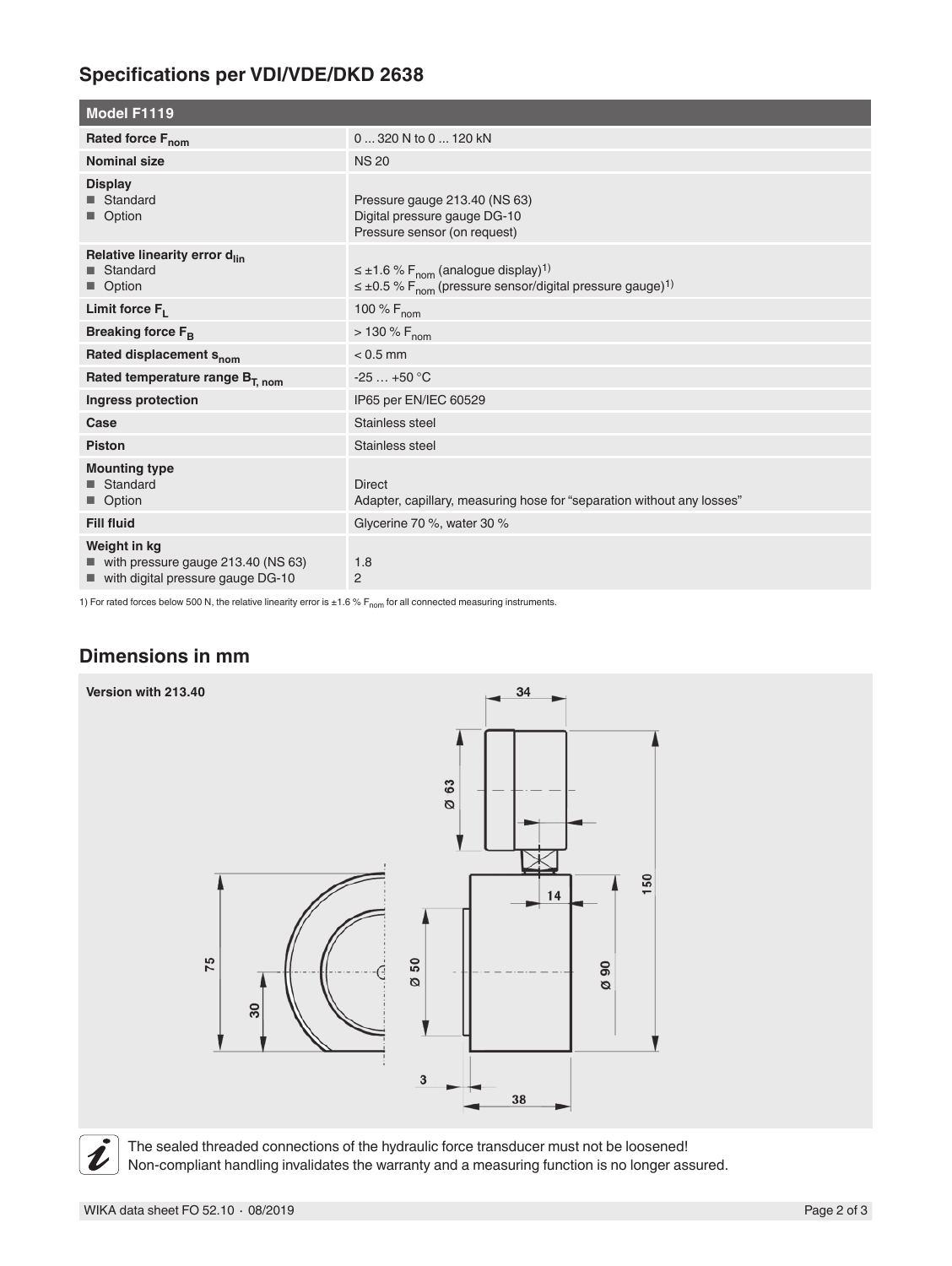## **Specifications per VDI/VDE/DKD 2638**

| Model F1119                                                                                            |                                                                                                                                                                |
|--------------------------------------------------------------------------------------------------------|----------------------------------------------------------------------------------------------------------------------------------------------------------------|
| Rated force F <sub>nom</sub>                                                                           | 0  320 N to 0  120 kN                                                                                                                                          |
| <b>Nominal size</b>                                                                                    | <b>NS 20</b>                                                                                                                                                   |
| <b>Display</b><br>■ Standard<br>■ Option                                                               | Pressure gauge 213.40 (NS 63)<br>Digital pressure gauge DG-10<br>Pressure sensor (on request)                                                                  |
| Relative linearity error d <sub>lin</sub><br><b>■</b> Standard<br>■ Option                             | $\leq \pm 1.6$ % F <sub>nom</sub> (analogue display) <sup>1)</sup><br>$\leq \pm 0.5$ % F <sub>nom</sub> (pressure sensor/digital pressure gauge) <sup>1)</sup> |
| Limit force $F_L$                                                                                      | 100 % $F_{nom}$                                                                                                                                                |
| Breaking force F <sub>B</sub>                                                                          | $> 130 \% F_{nom}$                                                                                                                                             |
| Rated displacement S <sub>nom</sub>                                                                    | $< 0.5$ mm                                                                                                                                                     |
| Rated temperature range B <sub>T, nom</sub>                                                            | $-25+50$ °C                                                                                                                                                    |
| Ingress protection                                                                                     | IP65 per EN/IEC 60529                                                                                                                                          |
| Case                                                                                                   | Stainless steel                                                                                                                                                |
| <b>Piston</b>                                                                                          | Stainless steel                                                                                                                                                |
| <b>Mounting type</b><br>■ Standard<br>■ Option                                                         | <b>Direct</b><br>Adapter, capillary, measuring hose for "separation without any losses"                                                                        |
| <b>Fill fluid</b>                                                                                      | Glycerine 70 %, water 30 %                                                                                                                                     |
| Weight in kg<br>$\blacksquare$ with pressure gauge 213.40 (NS 63)<br>with digital pressure gauge DG-10 | 1.8<br>$\overline{2}$                                                                                                                                          |

1) For rated forces below 500 N, the relative linearity error is  $\pm 1.6$  % F<sub>nom</sub> for all connected measuring instruments.

#### **Dimensions in mm**



The sealed threaded connections of the hydraulic force transducer must not be loosened! Non-compliant handling invalidates the warranty and a measuring function is no longer assured.

 $\tilde{\bm{\iota}}$